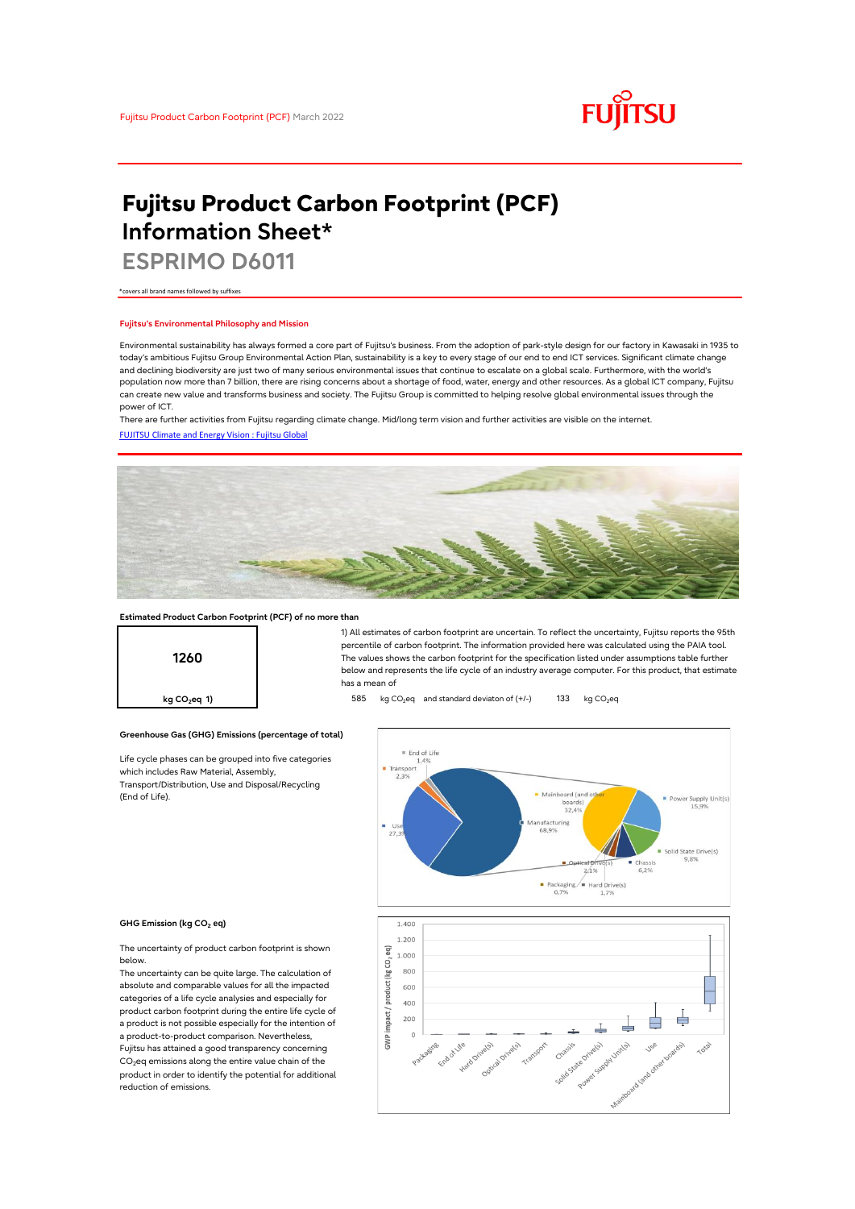

# **Fujitsu Product Carbon Footprint (PCF) Information Sheet\***

**ESPRIMO D6011**

\*covers all brand names followed by suffixes

## **Fujitsu's Environmental Philosophy and Mission**

Environmental sustainability has always formed a core part of Fujitsu's business. From the adoption of park-style design for our factory in Kawasaki in 1935 to today's ambitious Fujitsu Group Environmental Action Plan, sustainability is a key to every stage of our end to end ICT services. Significant climate change and declining biodiversity are just two of many serious environmental issues that continue to escalate on a global scale. Furthermore, with the world's population now more than 7 billion, there are rising concerns about a shortage of food, water, energy and other resources. As a global ICT company, Fujitsu can create new value and transforms business and society. The Fujitsu Group is committed to helping resolve global environmental issues through the power of ICT.

[FUJITSU Climate and Energy Vision : Fujitsu Global](https://www.fujitsu.com/global/about/environment/climate-energy-vision/) There are further activities from Fujitsu regarding climate change. Mid/long term vision and further activities are visible on the internet.



## **Estimated Product Carbon Footprint (PCF) of no more than**

**Greenhouse Gas (GHG) Emissions (percentage of total)**

Life cycle phases can be grouped into five categories

which includes Raw Material, Assembly, Transport/Distribution, Use and Disposal/Recycling



1) All estimates of carbon footprint are uncertain. To reflect the uncertainty, Fujitsu reports the 95th percentile of carbon footprint. The information provided here was calculated using the PAIA tool. The values shows the carbon footprint for the specification listed under assumptions table further below and represents the life cycle of an industry average computer. For this product, that estimate has a mean of

**kg CO<sub>2</sub>eq 1) b** 585 kg CO<sub>2</sub>eq and standard deviaton of (+/-) 133 kg CO<sub>2</sub>eq





### **GHG Emission (kg CO2 eq)**

(End of Life).

The uncertainty of product carbon footprint is shown below.

The uncertainty can be quite large. The calculation of absolute and comparable values for all the impacted categories of a life cycle analysies and especially for product carbon footprint during the entire life cycle of a product is not possible especially for the intention of a product-to-product comparison. Nevertheless, Fujitsu has attained a good transparency concerning CO<sub>2</sub>eq emissions along the entire value chain of the product in order to identify the potential for additional reduction of emissions.